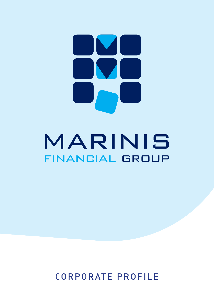# M  $\overline{\phantom{a}}$

# MARINIS FINANCIAL GROUP

CORPORATE PROFILE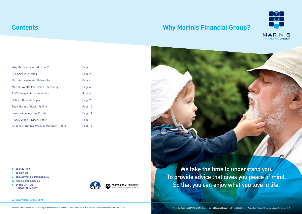We take the time to understand you. To provide advice that gives you peace of mind. So that you can enjoy what you love in life.

| <b>Why Marinis Financial Group?</b>         | Page 1  |
|---------------------------------------------|---------|
| <b>Our Service Offering</b>                 | Page 2  |
| Marinis Investment Philosophy               | Page 4  |
| <b>Marinis Wealth Protection Philosophy</b> | Page 6  |
| <b>Self Managed Superannuation</b>          | Page 8  |
| <b>Defined Benefits Super</b>               | Page 9  |
| Theo Marinis Adviser Profile                | Page 10 |
| Jason Zanini Adviser Profile                | Page 11 |
| <b>Stacey Vyden Adviser Profile</b>         | Page 12 |
| Kristina Matthews Practice Manager Profile  | Page 13 |

## **Contents**

## **Why Marinis Financial Group?**

**T** 08 8130 5130

- **F** 08 8331 9161
- **E** admin@marinisgroup.com.au
- **W** marinisgroup.com.au
- **A** 49 Beulah Road NORWOOD SA 5067









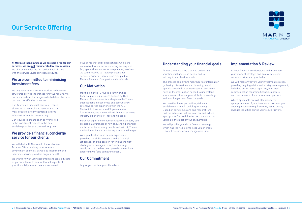**At Marinis Financial Group we are paid a fee for our services; we are not remunerated by commissions** We charge on a flat fee for service basis, in line with the service levels our clients require.

We only recommend service providers whose fee structures provide the transparency we require. We provide investment strategies which deliver the most cost and tax effective outcomes.

#### **We are committed to minimising investment fees**

We will deal with Centrelink, the Australian Taxation Office (and any other relevant government agencies) as well as investment and insurance service providers on your behalf.

Our Australian Financial Services Licence allows us to research and recommend the most cost effective investment platform solutions for our service offering.

We will work with your accountant and legal advisers as part of a team, to ensure that all aspects of your financial planning needs are covered.

Our focus is to ensure each party involved in the investment process is the best available provider at a competitive price.

#### **We provide a financial concierge service for our clients**

If we agree that additional services which are not covered by our service offering are required (e.g. general insurance, estate planning services) we can direct you to trusted professional service providers. There are no fees paid to Marinis Financial Group with such referrals.

#### **Our Motivation**

We consider the opportunities, risks and available solutions in building a strategy. Based on our discussions and research, we find the solutions that are cost, tax and (where appropriate) Centrelink effective, to ensure that you make the most of your entitlements.

We will provide you with a financial strategy which has the flexibility to keep you on track – even if circumstances change over time.



Marinis Financial Group is a family owned financial planning business headed by Theo Marinis. The business is underpinned by Theo's qualifications in economics and accountancy, extensive career experience with the ATO, Centrelink, Insurance and Superannuation Commission, and the combined financial services industry experience of Theo and his team.

We will regularly review your investment strategy, providing ongoing advice and strategy management, including performance reporting, informed communication regarding financial markets, and maintenance of your investment portfolio.

Personal experience of family tragedy at an early age created an awareness of how challenging financial matters can be for many people and, with it, Theo's motivation to help others facing similar challenges.

With qualifications and career experience providing the skills to negotiate the financial landscape, and the passion for finding the right strategies to manage it, it is Theo's strong conviction that he has been provided the unique opportunity to 'give something back'.

#### **Our Commitment**

To give you the best possible advice.

### **Understanding your financial goals**

As our client, we have a duty to understand your financial goals and needs, and to act only in your best interests.

The process can involve many hours of information gathering, discussions, and listening, we will spend as much time as necessary to ensure we have all the information needed to understand your current situation, your attitude to investing, and your longer term financial goals.

#### **Implementation & Review**

As your financial concierge, we will implement your financial strategy, and deal with relevant service providers on your behalf.

Where applicable, we will also review the appropriateness of your insurance cover and your ongoing insurance requirements, based on any changes identified during your regular review.

## **Our Service Offering**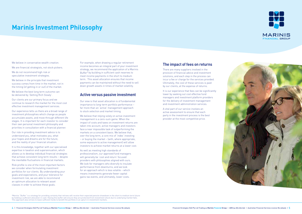We are financial strategists, not stock pickers.

We do not recommend high risk or speculative investment strategies.

We believe in the principle that investment success comes from time in the market, not in the timing (of getting in or out) of the market.

We believe the best long term outcome can be delivered by 'Getting Rich Slowly'.

Our clients are our primary focus and we continue to research the market for the most cost effective investment management services.

Our experience tells us there are a broad range of investment philosophies which change as people accumulate assets, and move through different life stages. It is important for each investor to consider their own personal investment philosophy and priorities in consultation with a financial planner.

Our role in providing investment advice is to understand you, what motivates you, what your hopes and dreams are for the future, and the reality of your financial situation.

It is this knowledge, together with our specialised expertise in taxation and superannuation, which allows us to develop individual financial strategies that achieve consistent long term results – despite the inevitable fluctuations in financial markets.

Risk profile is one of the most important factors we consider when formulating investment portfolios for our clients. By understanding your goals and expectations, and your tolerance for investment risk, we are able to recommend an optimum allocation to relevant asset classes in order to achieve these goals.

For example, when drawing a regular retirement income becomes an integral part of your investment strategy, we recommend the application of a Marinis Buffer<sup>#</sup> by building in sufficient cash reserves to meet income payments in the short to medium term. This asset allocation ensures that income payments can be maintained without the need to sell down growth assets in times of market volatility.

#### **Active versus passive investment**

Our view is that asset allocation is of fundamental importance to long-term portfolio performance – far more than an 'active' management approach to stock selection and market timing.

We believe that relying solely on active investment management is a zero-sum game. When the impact of costs and taxes on investment returns are taken into account, active managers and investors face a near impossible task of outperforming the markets on a consistent basis. We believe that, over the long term, a core mix of 'index' investing – or buying the market – (with, where appropriate, some exposure to active management) will allow investors to achieve market returns at a lower cost.

As well as meeting high standards of professionalism, our approved fund managers will generally be 'cost and return' focused providers with philosophies aligned with ours. We look for managers who diversify to insulate performance from downturns, and we look for an approach which is less volatile – which means investments generate fewer capital gains tax events, and ultimately, lower costs.

#### **The impact of fees on returns**

There are many suppliers involved in the provision of financial advice and investment solutions, and each step in the process can incur a fee or charge for the services provided. Ultimately, the cost of these services is paid by our clients, at the expense of returns.

It is our experience that fees can be significantly lower by seeking out cost effective fund managers and investment platform providers for the delivery of investment management and investment administration services.

A vital part of our service involves an active assessment to ensure that each party in the investment process is the best provider at the most competitive price.

#Marinis "Buffer" is a strategy for providing certainty that retirees will receive their expected pension drawdown in the short to medium term future by holding a sufficient allocation in cash. Having this buffer will ensure they are protected from investment shock due to underlying market falls. This approach also strives to leave sufficient funds to benefit the portfolio in an upturn in investment markets.





## **Marinis Investment Philosophy**

We believe in conservative wealth creation.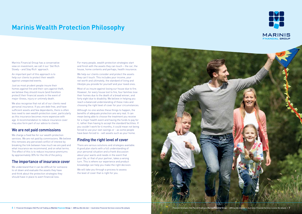Marinis Financial Group has a conservative view on investment; we call it our 'Get Rich Slowly – and Stay Rich' approach.

An important part of this approach is to help our clients to protect their wealth against unexpected events.

Just as most prudent people insure their homes against fire and their cars against theft, we believe they should insure (and therefore protect) their financial assets in the event of major illness, injury or untimely death.

We also recognise that not all of our clients need personal insurance. If you are debt free, and have sufficient assets and few dependants, there is often less need to own wealth protection cover, particularly as this insurance becomes more expensive with age. A recommendation to reduce insurance cover may also form part of our advice to clients

We understand that it can be difficult for someone to sit down and evaluate the assets they have and think about the protection strategies they should have in place to avert financial loss.

#### **We are not paid commissions**

We help our clients consider and protect the assets they can't touch. This includes your income, your net worth and ultimately, the standard of living and lifestyle you provide for yourself and your loved ones.

We charge a fixed fee for our wealth protection services. We are not paid by commissions. We believe this removes any perceived conflict of interest by breaking the link between how much we are paid and what insurance we recommend, and on what terms. The effect of this is to reduce insurance premiums by approximately 30% for the life of the policy.

#### **The importance of insurance cover**

For many people, wealth protection strategies start and finish with the assets they can touch – the car, the house, home contents and perhaps, health insurance.

Most of us insure against losing our house due to fire. However, for every house lost to fire, four families lose their homes due to the death of a bread winner, and forty eight due to disability. We believe in helping you reach a balanced understanding of these risks and choosing the right level of cover for your circumstances.

Although no-one wishes these things to happen, the benefits of adequate protection are very real. It can mean being able to choose the treatment you receive for a major health event and having the funds to pay for it, rather than having to accept the standard facilities. If you couldn't work for 6 months, it could mean not being forced to use your own savings or - as some people have been forced to - sell assets such as your home.

## **Finding the right level of cover**

There are various solutions and strategies available. A good plan starts with a full understanding of your personal situation and a frank discussion about your wants and needs in the event that your life, or that of your partner, takes a wrong turn. This is where our experience and product knowledge can help you make the right decision.

We will take you through a process to assess the level of cover that is right for you.



## **Marinis Wealth Protection Philosophy**

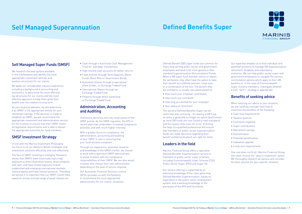## **Self Managed Superannuation Defined Benefits Super**

#### **Self Managed Super Funds (SMSF)**

We research the best options available in the marketplace and identify the most appropriate investment vehicles and taxation structures for our clients.

We apply our considerable industry experience, including a background in accounting and economics, to determine the most effective tax structures for our clients and the most effective approach to help them grow their wealth over the medium to long term.

As your financial advisers, we will determine if an SMSF is the appropriate vehicle for your retirement savings. If the decision is made to establish an SMSF, we will recommend the appropriate investment and administration service for the trustees to ensure that their SMSF meets all legislative requirements and is able to deliver the appropriate outcomes for fund members.

#### **SMSF Investment Strategy**

In line with the Marinis Investment Philosophy, our focus is on our ability to deliver strategies and investment solutions efficiently and cost-effectively.

The face of SMSF investing is changing. Research shows that SMSFs have historically had a high exposure to direct Australian shares, direct property and cash, and have limited exposure to both established and emerging international markets, listed property and fixed interest products. Therefore, we believe it is important that our SMSF clients have exposure across a broad range of asset classes via:

- Cash through a functional Cash Management Trust for 'everyday' transactions
- High interest cash accounts for better returns
- Fixed Interest through Term Deposits, Bond Funds, Bank Bills or Government Bonds.
- Australian Shares through a specialized share broker, or Exchange Traded Fund
- International Shares through an Exchange Traded Fund
- Property through direct ownership or Exchange Traded Fund

#### **Administration, Accounting and Auditing**

Investment decisions are only small pieces of the SMSF puzzle. As the SMSF regulator, the ATO in recent years has undertaken increased compliance activities, and with much higher intensity.

With a greater focus on compliance, the administration, accounting and auditing of your SMSF is vital in ensuring that your fund remains compliant.

When tailoring our advice to your situation, we will carefully consider (and look to maximise the benefits) of the following:

Through our experience, extensive research and knowledge of the SMSF market, we choose to work with a specialist SMSF administrator to assist trustees with the compliance responsibilities of their SMSF. We can also assist trustees who choose their own administrator depending on the level of service required.

Our Australian Financial Services Licence (AFSL) provides us with the flexibility to recommend the most appropriate administrator for our clients' situations.

Defined Benefit (DB) super funds are common for many long serving public sector and government employees and tend to be more generous than standard Superannuation (Accumulation) Funds. When a DB super fund member retires or leaves the workplace, they often have the option to take their benefit as a lifetime pension, lump sum, or a combination of the two. The benefit they are entitled to is usually calculated based on:

- How much your employer contributes
- How much you contribute
- How long you worked for your employer
- Your salary at retirement

The world of Defined Benefits Super can be restrictive and confusing. On leaving a DB fund, re-entry is generally no longer an option (particularly as most DB funds are now closed to new members) and this leaves little room for error. Enlisting the help of a qualified professional will ensure that members of public sector superannuation funds can make decisions regarding their benefit entitlements which are right for them.

#### **Leaders in the field**

Marinis Financial Group offers a specialist Defined Benefits Superannuation service to members of public sector super schemes, including Commonwealth Super Scheme (CSS) Public Sector Super (PSS) and Super SA.

Our service offering is supported by an extensive knowledge of the rules governing Defined Benefits Superannuation, hands on experience in the public sector employment system, and a working knowledge of the processes of the ATO and Centrelink.





Our expertise enables us to find individual and qualified solutions to manage DB Superannuation retirement, disability and redundancy scenarios. We can help public sector super and government employees to navigate the various commutation options which apply to their DB benefits or, in the case of Commonwealth Super Scheme members, investigate whether a CSS ''54/11'' strategy is appropriate.

### **Benefits of seeking advice**

- Cash flow requirements
- Taxation position
- Centrelink eligibility
- Super contributions
- Retirement savings
- Diversification
- Potential beneficiaries
- Indexation applied
- Lump sum requirements

One size does not fit all. Marinis Financial Group will never choose the 'easy to implement' option. We thoroughly research all options and consider the best solution for your specific situation.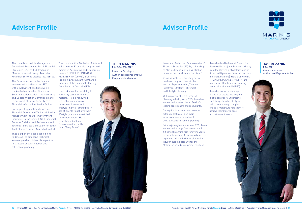**JASON ZANINI** B.Ec., CFP® Financial Adviser Authorised Representative

Jason is an Authorised Representative of Financial Strategies (SA) Pty Ltd trading as Marinis Financial Group, Australian Financial Services Licence No. 326403.

Jason specialises in providing advice to a broad range of clients in the areas of Superannuation, Taxation, Investment Strategy, Retirement and Lifestyle Planning.

With employment in the Financial Planning industry since 2005, Jason has worked with some of the profession's leading practitioners and consultants.

During this time Jason has developed extensive technical knowledge in superannuation, investment, Centrelink and retirement planning.

Prior to joining Marinis in June 2013, Jason worked with a large Adelaide accounting & financial planning firm for over 6 years as Paraplanner and Associate Adviser. His experience within the financial planning industry also includes Sydney and Melbourne based employment positions.

Jason holds a Bachelor of Economics degree with a major in Economic History from the University of Adelaide, and an Advanced Diploma of Financial Services (Financial Planning). He is a CERTIFIED FINANCIAL PLANNER<sup>™</sup> (CFP®) and a member of the Financial Planning Association of Australia (FPA).

Jason believes in presenting financial strategies in a way that clients can clearly understand. He takes pride in his ability to help clients through complex financial matters, to help them to achieve their lifestyle goals and retirement needs.



#### **THEO MARINIS** B.A., B.Ec., CPA., CFP®

Theo is a Responsible Manager and Authorised Representative of Financial Strategies (SA) Pty Ltd, trading as Marinis Financial Group, Australian Financial Services Licence No. 326403.

Theo's introduction to the financial services industry began in 1987 with employment positions within the Australian Taxation Office as a Superannuation Adviser, the Insurance and Superannuation Commission and Department of Social Security as a Financial Information Service Officer.

Subsequent appointments included Financial Adviser and Technical Service Manager with the State Government Insurance Commission (SGIC) Financial Services Division, and Retirement and Technical Services Consultant for South Australia with Zurich Australia Limited.

Theo's experience has enabled him to develop the extensive technical knowledge which drives his expertise in strategic superannuation and retirement planning.

Theo holds both a Bachelor of Arts and a Bachelor of Economics degree, with majors in Accounting and Economics. He is a CERTIFIED FINANCIAL PLANNER TM (CFP®), a Certified Practising Accountant (CPA) and a member of the Financial Planning Association of Australia (FPA).

Theo is known for his ability to demystify complex financial matters. He is a renowned presenter on innovative retirement income and lifestyle financial strategies to assist clients to achieve their lifestyle goals and meet their retirement needs. He has published a book on Superannuation, aptly titled "Sexy Super?"

Financial Strategist Authorised Representative Responsible Manager

## **Adviser Profile Adviser Profile**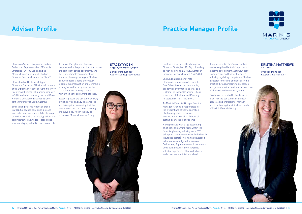## **Adviser Profile**

Stacey is a Senior Paraplanner and an Authorised Representative of Financial Strategies (SA) Pty Ltd trading as Marinis Financial Group, Australian Financial Services Licence No. 326403.

Stacey holds a Bachelor of Applied Finance, a Bachelor of Business (Honours) and a Diploma in Financial Planning. Prior to entering the financial planning industry in 2012, and after receiving her First Class Honours, she worked as a researcher at the University of South Australia.

Since joining Marinis Financial Group in 2014, Stacey has developed a strong interest in insurance and estate planning, as well as extensive technical, product and administrative knowledge – capabilities which are highly valued in her current role.

As Senior Paraplanner, Stacey is responsible for the production of accurate and compliant advice documents, and the efficient implementation of our financial planning strategies. She has a sound understanding of complex taxation, superannuation and Centrelink strategies, and is recognised for her commitment to thorough research within the financial planning process.

Stacey is passionate about the delivery of high service and advice standards and takes pride in ensuring that the best interests of our clients are met; she plays a key role in the advice process at Marinis Financial Group.

**STACEY VYDEN** B.AppFin, B.Bus (Hons), DipFP Senior Paraplanner

Authorised Representative

## **Practice Manager Profile**

Kristina is a Responsible Manager of Financial Strategies (SA) Pty Ltd trading as Marinis Financial Group, Australian Financial Services License No 326403.

She holds a Bachelor of Arts (Communications) awarded with the Dean's Merit Award for outstanding academic performance, as well as a Diploma in Financial Planning. She is a member of the Financial Planning Association of Australia (FPA).

As Marinis Financial Group's Practice Manager, Kristina is responsible for the efficient and effective operation of all management processes involved in the provision of financial planning services to our clients.

Having worked with large accounting and financial planning firms within the financial planning industry since 2002 (with prior management roles in the health insurance sector) Kristina has developed extensive knowledge in the areas of Retirement, Superannuation, Investments and Social Security. She has gained valuable experience at both a technical and a process administration level.

A key focus of Kristina's role involves overseeing the client advice process, systems development, workflow, staff management and financial services industry regulatory compliance. She has a passion for driving efficiencies in the practice through improving processes, and guidance in the continual development of client related software systems.

Kristina is committed to the delivery of services to our clients in a timely, accurate and professional manner, and to upholding the ethical standards of Marinis Financial Group.





#### **KRISTINA MATTHEWS** B.A., DipFP

Practice Manager Responsible Manager